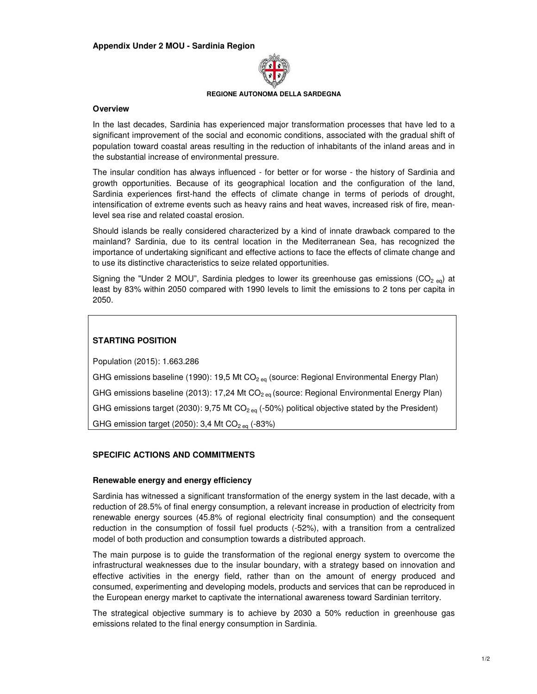

#### **REGIONE AUTONOMA DELLA SARDEGNA**

#### **Overview**

In the last decades, Sardinia has experienced major transformation processes that have led to a significant improvement of the social and economic conditions, associated with the gradual shift of population toward coastal areas resulting in the reduction of inhabitants of the inland areas and in the substantial increase of environmental pressure.

The insular condition has always influenced - for better or for worse - the history of Sardinia and growth opportunities. Because of its geographical location and the configuration of the land, Sardinia experiences first-hand the effects of climate change in terms of periods of drought, intensification of extreme events such as heavy rains and heat waves, increased risk of fire, meanlevel sea rise and related coastal erosion.

Should islands be really considered characterized by a kind of innate drawback compared to the mainland? Sardinia, due to its central location in the Mediterranean Sea, has recognized the importance of undertaking significant and effective actions to face the effects of climate change and to use its distinctive characteristics to seize related opportunities.

Signing the "Under 2 MOU", Sardinia pledges to lower its greenhouse gas emissions (CO<sub>2 eq</sub>) at least by 83% within 2050 compared with 1990 levels to limit the emissions to 2 tons per capita in 2050.

# **STARTING POSITION**

Population (2015): 1.663.286

GHG emissions baseline (1990): 19,5 Mt  $CO<sub>2 eq</sub>$  (source: Regional Environmental Energy Plan) GHG emissions baseline (2013): 17,24 Mt  $CO<sub>2 eq</sub>$  (source: Regional Environmental Energy Plan) GHG emissions target (2030): 9,75 Mt  $CO<sub>2 eq</sub>$  (-50%) political objective stated by the President) GHG emission target (2050): 3,4 Mt  $CO<sub>2 eq</sub>$  (-83%)

# **SPECIFIC ACTIONS AND COMMITMENTS**

# **Renewable energy and energy efficiency**

Sardinia has witnessed a significant transformation of the energy system in the last decade, with a reduction of 28.5% of final energy consumption, a relevant increase in production of electricity from renewable energy sources (45.8% of regional electricity final consumption) and the consequent reduction in the consumption of fossil fuel products (-52%), with a transition from a centralized model of both production and consumption towards a distributed approach.

The main purpose is to guide the transformation of the regional energy system to overcome the infrastructural weaknesses due to the insular boundary, with a strategy based on innovation and effective activities in the energy field, rather than on the amount of energy produced and consumed, experimenting and developing models, products and services that can be reproduced in the European energy market to captivate the international awareness toward Sardinian territory.

The strategical objective summary is to achieve by 2030 a 50% reduction in greenhouse gas emissions related to the final energy consumption in Sardinia.